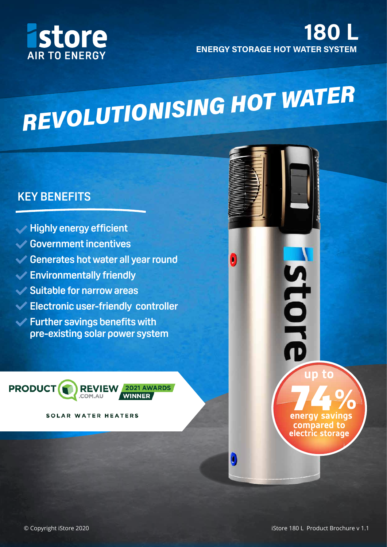

#### 180 ENERGY STORAGE HOT WATER SYSTEM

# REVOLUTIONISING HOT WATER

 $\left| \rule{0.3cm}{.0cm} \right|$ 

#### **KEY BENEFITS**

- **Highly energy efficient**
- **Government incentives**
- **Generates hot water all year round**
- **Environmentally friendly**
- **Suitable for narrow areas**
- **Electronic user-friendly controller**
- **Further savings benefits with pre-existing solar power system**



SOLAR WATER HEATERS

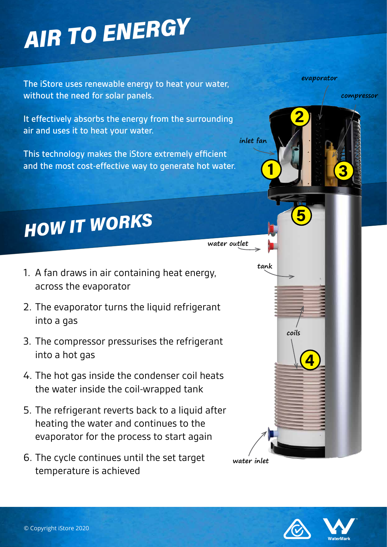# **AIR TO ENERGY**

The iStore uses renewable energy to heat your water, without the need for solar panels.

It effectively absorbs the energy from the surrounding air and uses it to heat your water.

This technology makes the iStore extremely efficient and the most cost-effective way to generate hot water.

## **HOW IT WORKS**

- 1. A fan draws in air containing heat energy, across the evaporator
- 2. The evaporator turns the liquid refrigerant into a gas
- 3. The compressor pressurises the refrigerant into a hot gas
- 4. The hot gas inside the condenser coil heats the water inside the coil-wrapped tank
- 5. The refrigerant reverts back to a liquid after heating the water and continues to the evaporator for the process to start again
- 6. The cycle continues until the set target temperature is achieved

**evaporator**

2

**compressor**

3

**water outlet**

1

**inlet fan**

**tank**

**water inlet**



4

**coils**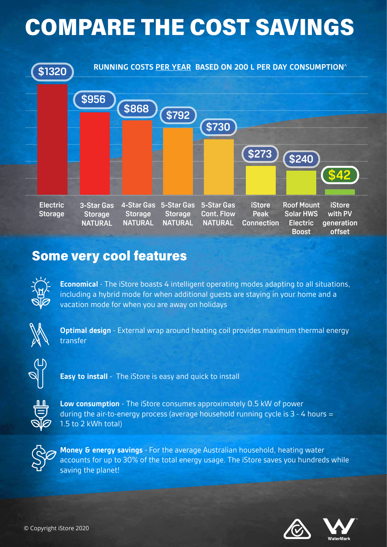### COMPARE THE COST SAVINGS



#### Some very cool features



**Economical** - The iStore boasts 4 intelligent operating modes adapting to all situations, including a hybrid mode for when additional guests are staying in your home and a vacation mode for when you are away on holidays



**Optimal design** - External wrap around heating coil provides maximum thermal energy transfer



**Easy to install** - The iStore is easy and quick to install



**Low consumption** - The iStore consumes approximately 0.5 kW of power during the air-to-energy process (average household running cycle is 3 - 4 hours = 1.5 to 2 kWh total)



**Money & energy savings** - For the average Australian household, heating water accounts for up to 30% of the total energy usage. The iStore saves you hundreds while saving the planet!